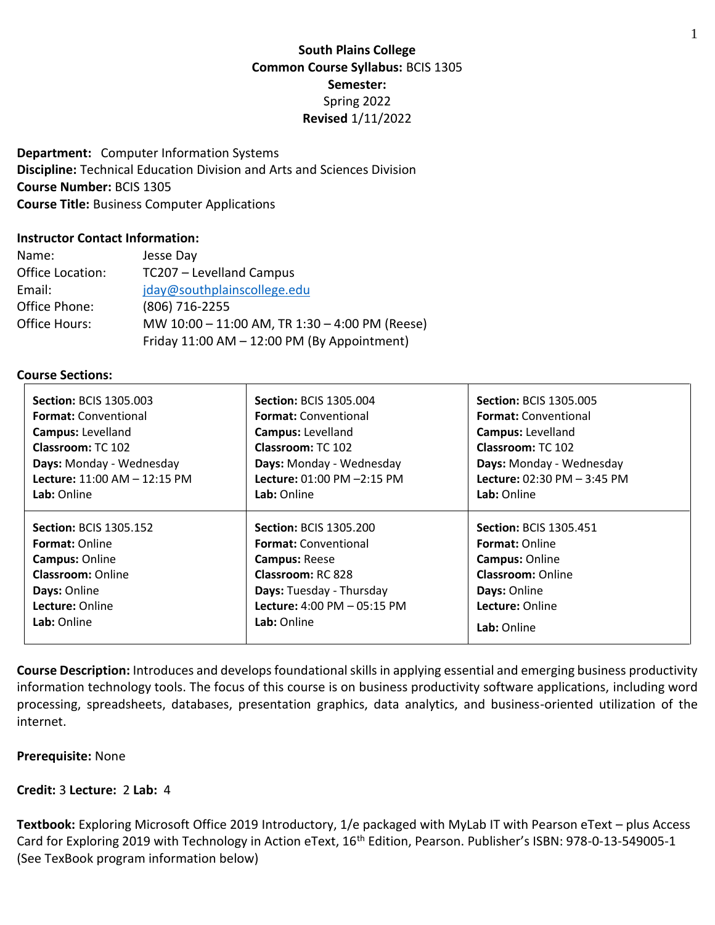# **South Plains College Common Course Syllabus:** BCIS 1305 **Semester:** Spring 2022 **Revised** 1/11/2022

**Department:** Computer Information Systems **Discipline:** Technical Education Division and Arts and Sciences Division **Course Number:** BCIS 1305 **Course Title:** Business Computer Applications

### **Instructor Contact Information:**

| Name:            | Jesse Day                                      |
|------------------|------------------------------------------------|
| Office Location: | TC207 - Levelland Campus                       |
| Email:           | jday@southplainscollege.edu                    |
| Office Phone:    | (806) 716-2255                                 |
| Office Hours:    | MW 10:00 - 11:00 AM, TR 1:30 - 4:00 PM (Reese) |
|                  | Friday 11:00 AM - 12:00 PM (By Appointment)    |

#### **Course Sections:**

| <b>Section: BCIS 1305.003</b> | <b>Section: BCIS 1305.004</b> | <b>Section: BCIS 1305.005</b> |
|-------------------------------|-------------------------------|-------------------------------|
| <b>Format: Conventional</b>   | <b>Format:</b> Conventional   | <b>Format:</b> Conventional   |
| Campus: Levelland             | Campus: Levelland             | <b>Campus: Levelland</b>      |
| <b>Classroom: TC 102</b>      | <b>Classroom: TC 102</b>      | Classroom: TC 102             |
| Days: Monday - Wednesday      | Days: Monday - Wednesday      | Days: Monday - Wednesday      |
| Lecture: 11:00 AM - 12:15 PM  | Lecture: 01:00 PM -2:15 PM    | Lecture: 02:30 PM - 3:45 PM   |
| Lab: Online                   | Lab: Online                   | Lab: Online                   |
| <b>Section: BCIS 1305.152</b> | <b>Section: BCIS 1305.200</b> | <b>Section: BCIS 1305.451</b> |
| <b>Format: Online</b>         | <b>Format:</b> Conventional   | <b>Format: Online</b>         |
| <b>Campus: Online</b>         | <b>Campus: Reese</b>          | <b>Campus: Online</b>         |
| <b>Classroom: Online</b>      | <b>Classroom: RC 828</b>      | <b>Classroom: Online</b>      |
| Days: Online                  | Days: Tuesday - Thursday      | Days: Online                  |
| Lecture: Online               | Lecture: 4:00 PM - 05:15 PM   | Lecture: Online               |
| Lab: Online                   | Lab: Online                   | Lab: Online                   |

**Course Description:** Introduces and develops foundational skills in applying essential and emerging business productivity information technology tools. The focus of this course is on business productivity software applications, including word processing, spreadsheets, databases, presentation graphics, data analytics, and business-oriented utilization of the internet.

#### **Prerequisite:** None

### **Credit:** 3 **Lecture:** 2 **Lab:** 4

**Textbook:** Exploring Microsoft Office 2019 Introductory, 1/e packaged with MyLab IT with Pearson eText – plus Access Card for Exploring 2019 with Technology in Action eText, 16<sup>th</sup> Edition, Pearson. Publisher's ISBN: 978-0-13-549005-1 (See TexBook program information below)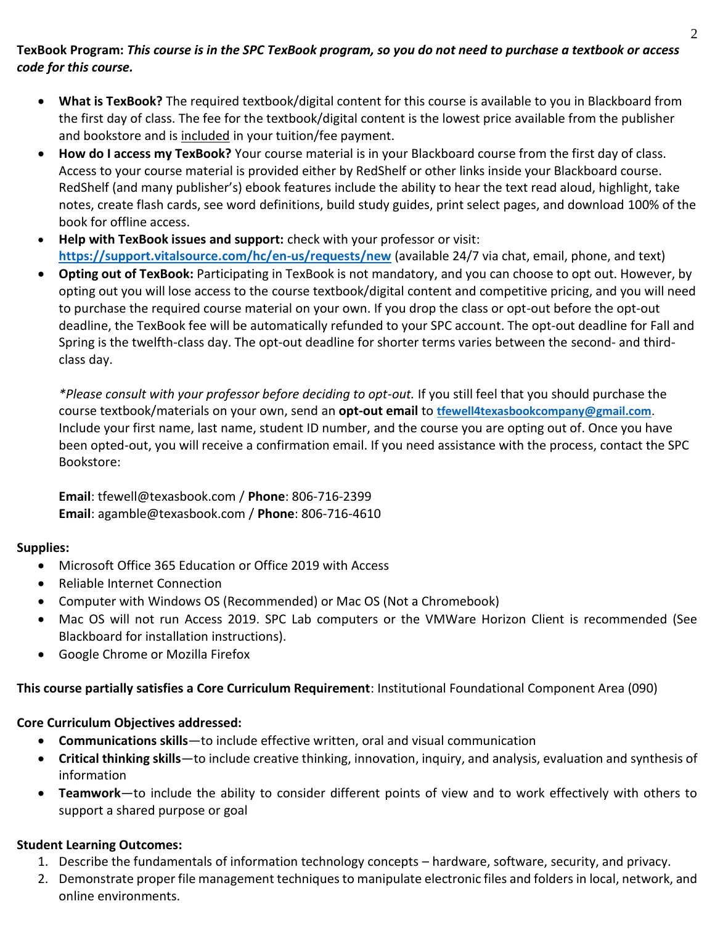# **TexBook Program:** *This course is in the SPC TexBook program, so you do not need to purchase a textbook or access code for this course.*

- **What is TexBook?** The required textbook/digital content for this course is available to you in Blackboard from the first day of class. The fee for the textbook/digital content is the lowest price available from the publisher and bookstore and is included in your tuition/fee payment.
- **How do I access my TexBook?** Your course material is in your Blackboard course from the first day of class. Access to your course material is provided either by RedShelf or other links inside your Blackboard course. RedShelf (and many publisher's) ebook features include the ability to hear the text read aloud, highlight, take notes, create flash cards, see word definitions, build study guides, print select pages, and download 100% of the book for offline access.
- **Help with TexBook issues and support:** check with your professor or visit: **<https://support.vitalsource.com/hc/en-us/requests/new>** (available 24/7 via chat, email, phone, and text)
- **Opting out of TexBook:** Participating in TexBook is not mandatory, and you can choose to opt out. However, by opting out you will lose access to the course textbook/digital content and competitive pricing, and you will need to purchase the required course material on your own. If you drop the class or opt-out before the opt-out deadline, the TexBook fee will be automatically refunded to your SPC account. The opt-out deadline for Fall and Spring is the twelfth-class day. The opt-out deadline for shorter terms varies between the second- and thirdclass day.

*\*Please consult with your professor before deciding to opt-out.* If you still feel that you should purchase the course textbook/materials on your own, send an **opt-out email** to **[tfewell4texasbookcompany@gmail.com](mailto:tfewell4texasbookcompany@gmail.com)**. Include your first name, last name, student ID number, and the course you are opting out of. Once you have been opted-out, you will receive a confirmation email. If you need assistance with the process, contact the SPC Bookstore:

**Email**: tfewell@texasbook.com / **Phone**: 806-716-2399 **Email**: agamble@texasbook.com / **Phone**: 806-716-4610

# **Supplies:**

- Microsoft Office 365 Education or Office 2019 with Access
- Reliable Internet Connection
- Computer with Windows OS (Recommended) or Mac OS (Not a Chromebook)
- Mac OS will not run Access 2019. SPC Lab computers or the VMWare Horizon Client is recommended (See Blackboard for installation instructions).
- Google Chrome or Mozilla Firefox

**This course partially satisfies a Core Curriculum Requirement**: Institutional Foundational Component Area (090)

# **Core Curriculum Objectives addressed:**

- **Communications skills**—to include effective written, oral and visual communication
- **Critical thinking skills**—to include creative thinking, innovation, inquiry, and analysis, evaluation and synthesis of information
- **Teamwork**—to include the ability to consider different points of view and to work effectively with others to support a shared purpose or goal

# **Student Learning Outcomes:**

- 1. Describe the fundamentals of information technology concepts hardware, software, security, and privacy.
- 2. Demonstrate proper file management techniques to manipulate electronic files and folders in local, network, and online environments.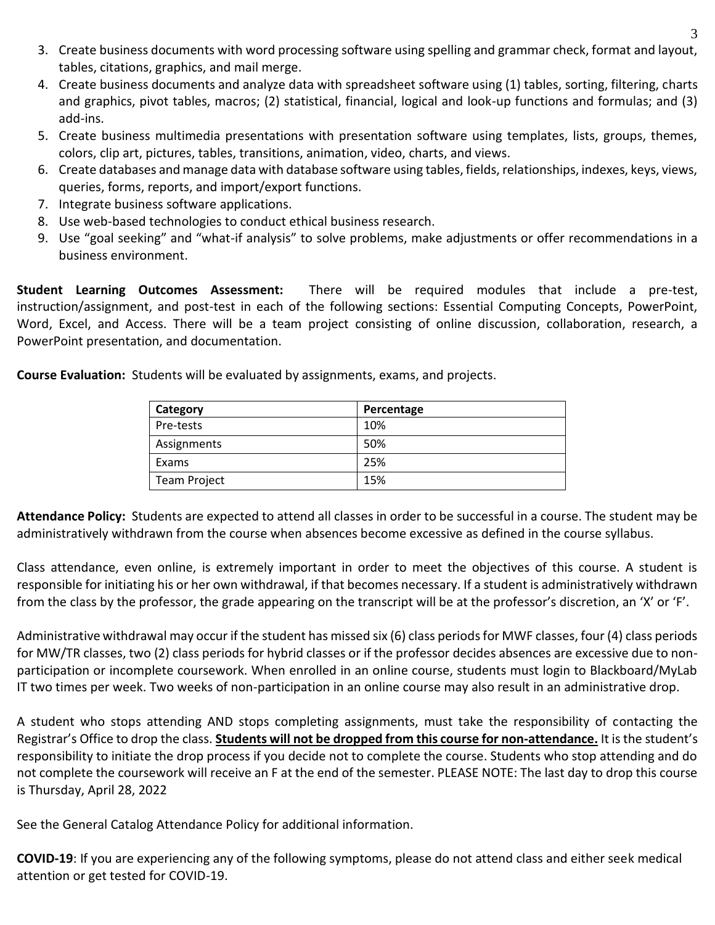- 3. Create business documents with word processing software using spelling and grammar check, format and layout, tables, citations, graphics, and mail merge.
- 4. Create business documents and analyze data with spreadsheet software using (1) tables, sorting, filtering, charts and graphics, pivot tables, macros; (2) statistical, financial, logical and look-up functions and formulas; and (3) add-ins.
- 5. Create business multimedia presentations with presentation software using templates, lists, groups, themes, colors, clip art, pictures, tables, transitions, animation, video, charts, and views.
- 6. Create databases and manage data with database software using tables, fields, relationships, indexes, keys, views, queries, forms, reports, and import/export functions.
- 7. Integrate business software applications.
- 8. Use web-based technologies to conduct ethical business research.
- 9. Use "goal seeking" and "what-if analysis" to solve problems, make adjustments or offer recommendations in a business environment.

**Student Learning Outcomes Assessment:** There will be required modules that include a pre-test, instruction/assignment, and post-test in each of the following sections: Essential Computing Concepts, PowerPoint, Word, Excel, and Access. There will be a team project consisting of online discussion, collaboration, research, a PowerPoint presentation, and documentation.

**Course Evaluation:** Students will be evaluated by assignments, exams, and projects.

| Category     | Percentage |
|--------------|------------|
| Pre-tests    | 10%        |
| Assignments  | 50%        |
| Exams        | 25%        |
| Team Project | 15%        |

**Attendance Policy:** Students are expected to attend all classes in order to be successful in a course. The student may be administratively withdrawn from the course when absences become excessive as defined in the course syllabus.

Class attendance, even online, is extremely important in order to meet the objectives of this course. A student is responsible for initiating his or her own withdrawal, if that becomes necessary. If a student is administratively withdrawn from the class by the professor, the grade appearing on the transcript will be at the professor's discretion, an 'X' or 'F'.

Administrative withdrawal may occur if the student has missed six (6) class periods for MWF classes, four (4) class periods for MW/TR classes, two (2) class periods for hybrid classes or if the professor decides absences are excessive due to nonparticipation or incomplete coursework. When enrolled in an online course, students must login to Blackboard/MyLab IT two times per week. Two weeks of non-participation in an online course may also result in an administrative drop.

A student who stops attending AND stops completing assignments, must take the responsibility of contacting the Registrar's Office to drop the class. **Students will not be dropped from this course for non-attendance.** It is the student's responsibility to initiate the drop process if you decide not to complete the course. Students who stop attending and do not complete the coursework will receive an F at the end of the semester. PLEASE NOTE: The last day to drop this course is Thursday, April 28, 2022

See the General Catalog Attendance Policy for additional information.

**COVID-19**: If you are experiencing any of the following symptoms, please do not attend class and either seek medical attention or get tested for COVID-19.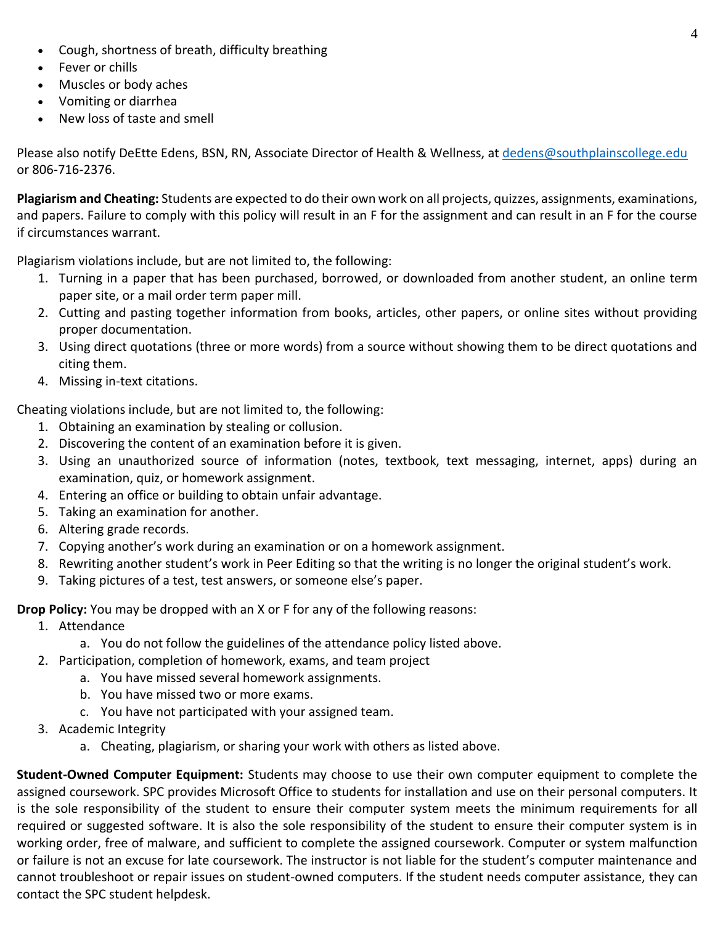- Cough, shortness of breath, difficulty breathing
- Fever or chills
- Muscles or body aches
- Vomiting or diarrhea
- New loss of taste and smell

Please also notify DeEtte Edens, BSN, RN, Associate Director of Health & Wellness, at [dedens@southplainscollege.edu](mailto:dedens@southplainscollege.edu) or 806-716-2376.

**Plagiarism and Cheating:** Students are expected to do their own work on all projects, quizzes, assignments, examinations, and papers. Failure to comply with this policy will result in an F for the assignment and can result in an F for the course if circumstances warrant.

Plagiarism violations include, but are not limited to, the following:

- 1. Turning in a paper that has been purchased, borrowed, or downloaded from another student, an online term paper site, or a mail order term paper mill.
- 2. Cutting and pasting together information from books, articles, other papers, or online sites without providing proper documentation.
- 3. Using direct quotations (three or more words) from a source without showing them to be direct quotations and citing them.
- 4. Missing in-text citations.

Cheating violations include, but are not limited to, the following:

- 1. Obtaining an examination by stealing or collusion.
- 2. Discovering the content of an examination before it is given.
- 3. Using an unauthorized source of information (notes, textbook, text messaging, internet, apps) during an examination, quiz, or homework assignment.
- 4. Entering an office or building to obtain unfair advantage.
- 5. Taking an examination for another.
- 6. Altering grade records.
- 7. Copying another's work during an examination or on a homework assignment.
- 8. Rewriting another student's work in Peer Editing so that the writing is no longer the original student's work.
- 9. Taking pictures of a test, test answers, or someone else's paper.

**Drop Policy:** You may be dropped with an X or F for any of the following reasons:

- 1. Attendance
	- a. You do not follow the guidelines of the attendance policy listed above.
- 2. Participation, completion of homework, exams, and team project
	- a. You have missed several homework assignments.
	- b. You have missed two or more exams.
	- c. You have not participated with your assigned team.
- 3. Academic Integrity
	- a. Cheating, plagiarism, or sharing your work with others as listed above.

**Student-Owned Computer Equipment:** Students may choose to use their own computer equipment to complete the assigned coursework. SPC provides Microsoft Office to students for installation and use on their personal computers. It is the sole responsibility of the student to ensure their computer system meets the minimum requirements for all required or suggested software. It is also the sole responsibility of the student to ensure their computer system is in working order, free of malware, and sufficient to complete the assigned coursework. Computer or system malfunction or failure is not an excuse for late coursework. The instructor is not liable for the student's computer maintenance and cannot troubleshoot or repair issues on student-owned computers. If the student needs computer assistance, they can contact the SPC student helpdesk.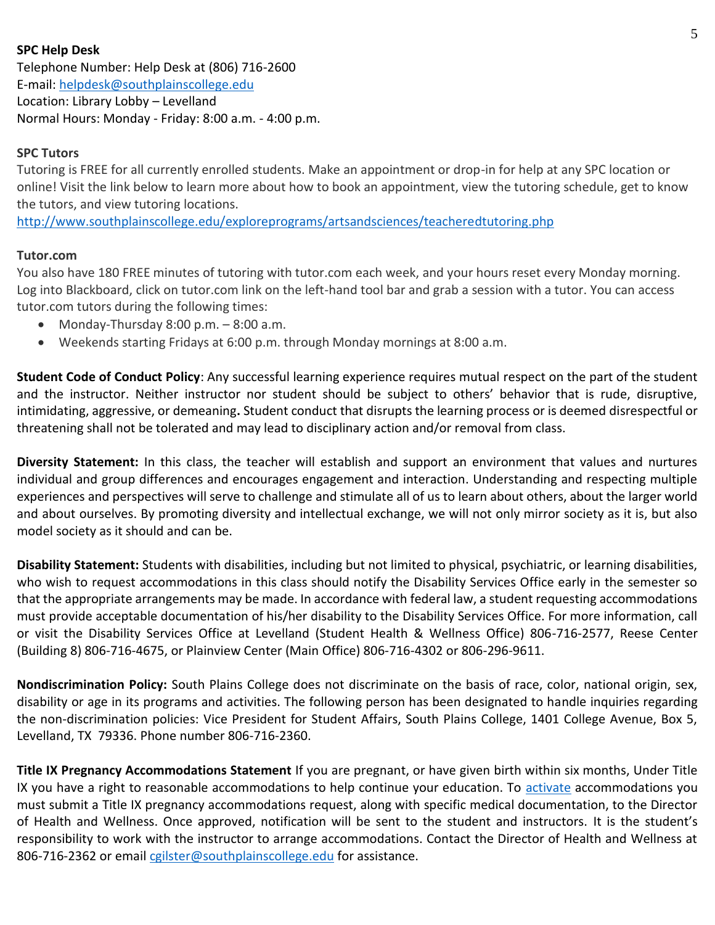# **SPC Help Desk**

Telephone Number: Help Desk at (806) 716-2600 E-mail[: helpdesk@southplainscollege.edu](mailto:helpdesk@southplainscollege.edu) Location: Library Lobby – Levelland Normal Hours: Monday - Friday: 8:00 a.m. - 4:00 p.m.

# **SPC Tutors**

Tutoring is FREE for all currently enrolled students. Make an appointment or drop-in for help at any SPC location or online! Visit the link below to learn more about how to book an appointment, view the tutoring schedule, get to know the tutors, and view tutoring locations.

<http://www.southplainscollege.edu/exploreprograms/artsandsciences/teacheredtutoring.php>

### **Tutor.com**

You also have 180 FREE minutes of tutoring with tutor.com each week, and your hours reset every Monday morning. Log into Blackboard, click on tutor.com link on the left-hand tool bar and grab a session with a tutor. You can access tutor.com tutors during the following times:

- Monday-Thursday  $8:00$  p.m.  $-8:00$  a.m.
- Weekends starting Fridays at 6:00 p.m. through Monday mornings at 8:00 a.m.

**Student Code of Conduct Policy**: Any successful learning experience requires mutual respect on the part of the student and the instructor. Neither instructor nor student should be subject to others' behavior that is rude, disruptive, intimidating, aggressive, or demeaning**.** Student conduct that disrupts the learning process or is deemed disrespectful or threatening shall not be tolerated and may lead to disciplinary action and/or removal from class.

**Diversity Statement:** In this class, the teacher will establish and support an environment that values and nurtures individual and group differences and encourages engagement and interaction. Understanding and respecting multiple experiences and perspectives will serve to challenge and stimulate all of us to learn about others, about the larger world and about ourselves. By promoting diversity and intellectual exchange, we will not only mirror society as it is, but also model society as it should and can be.

**Disability Statement:** Students with disabilities, including but not limited to physical, psychiatric, or learning disabilities, who wish to request accommodations in this class should notify the Disability Services Office early in the semester so that the appropriate arrangements may be made. In accordance with federal law, a student requesting accommodations must provide acceptable documentation of his/her disability to the Disability Services Office. For more information, call or visit the Disability Services Office at Levelland (Student Health & Wellness Office) 806-716-2577, Reese Center (Building 8) 806-716-4675, or Plainview Center (Main Office) 806-716-4302 or 806-296-9611.

**Nondiscrimination Policy:** South Plains College does not discriminate on the basis of race, color, national origin, sex, disability or age in its programs and activities. The following person has been designated to handle inquiries regarding the non-discrimination policies: Vice President for Student Affairs, South Plains College, 1401 College Avenue, Box 5, Levelland, TX 79336. Phone number 806-716-2360.

**Title IX Pregnancy Accommodations Statement** If you are pregnant, or have given birth within six months, Under Title IX you have a right to reasonable accommodations to help continue your education. To [activate](http://www.southplainscollege.edu/employees/manualshandbooks/facultyhandbook/sec4.php) accommodations you must submit a Title IX pregnancy accommodations request, along with specific medical documentation, to the Director of Health and Wellness. Once approved, notification will be sent to the student and instructors. It is the student's responsibility to work with the instructor to arrange accommodations. Contact the Director of Health and Wellness at 806-716-2362 or email [cgilster@southplainscollege.edu](mailto:cgilster@southplainscollege.edu) for assistance.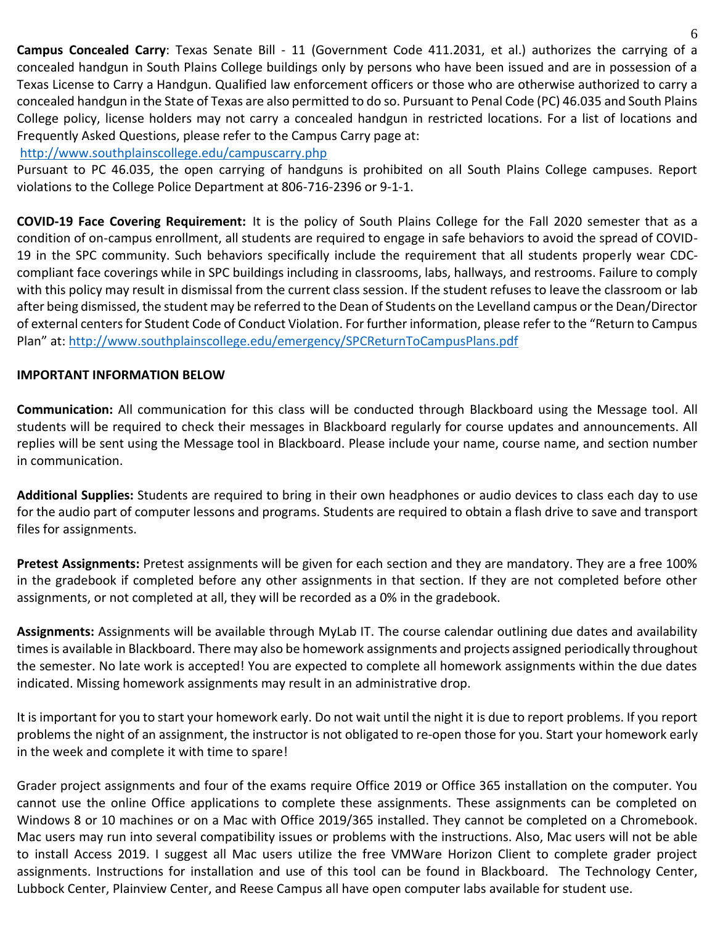**Campus Concealed Carry**: Texas Senate Bill - 11 (Government Code 411.2031, et al.) authorizes the carrying of a concealed handgun in South Plains College buildings only by persons who have been issued and are in possession of a Texas License to Carry a Handgun. Qualified law enforcement officers or those who are otherwise authorized to carry a concealed handgun in the State of Texas are also permitted to do so. Pursuant to Penal Code (PC) 46.035 and South Plains College policy, license holders may not carry a concealed handgun in restricted locations. For a list of locations and Frequently Asked Questions, please refer to the Campus Carry page at:

# <http://www.southplainscollege.edu/campuscarry.php>

Pursuant to PC 46.035, the open carrying of handguns is prohibited on all South Plains College campuses. Report violations to the College Police Department at 806-716-2396 or 9-1-1.

**COVID-19 Face Covering Requirement:** It is the policy of South Plains College for the Fall 2020 semester that as a condition of on-campus enrollment, all students are required to engage in safe behaviors to avoid the spread of COVID-19 in the SPC community. Such behaviors specifically include the requirement that all students properly wear CDCcompliant face coverings while in SPC buildings including in classrooms, labs, hallways, and restrooms. Failure to comply with this policy may result in dismissal from the current class session. If the student refuses to leave the classroom or lab after being dismissed, the student may be referred to the Dean of Students on the Levelland campus or the Dean/Director of external centers for Student Code of Conduct Violation. For further information, please refer to the "Return to Campus Plan" at: <http://www.southplainscollege.edu/emergency/SPCReturnToCampusPlans.pdf>

# **IMPORTANT INFORMATION BELOW**

**Communication:** All communication for this class will be conducted through Blackboard using the Message tool. All students will be required to check their messages in Blackboard regularly for course updates and announcements. All replies will be sent using the Message tool in Blackboard. Please include your name, course name, and section number in communication.

**Additional Supplies:** Students are required to bring in their own headphones or audio devices to class each day to use for the audio part of computer lessons and programs. Students are required to obtain a flash drive to save and transport files for assignments.

**Pretest Assignments:** Pretest assignments will be given for each section and they are mandatory. They are a free 100% in the gradebook if completed before any other assignments in that section. If they are not completed before other assignments, or not completed at all, they will be recorded as a 0% in the gradebook.

**Assignments:** Assignments will be available through MyLab IT. The course calendar outlining due dates and availability times is available in Blackboard. There may also be homework assignments and projects assigned periodically throughout the semester. No late work is accepted! You are expected to complete all homework assignments within the due dates indicated. Missing homework assignments may result in an administrative drop.

It is important for you to start your homework early. Do not wait until the night it is due to report problems. If you report problems the night of an assignment, the instructor is not obligated to re-open those for you. Start your homework early in the week and complete it with time to spare!

Grader project assignments and four of the exams require Office 2019 or Office 365 installation on the computer. You cannot use the online Office applications to complete these assignments. These assignments can be completed on Windows 8 or 10 machines or on a Mac with Office 2019/365 installed. They cannot be completed on a Chromebook. Mac users may run into several compatibility issues or problems with the instructions. Also, Mac users will not be able to install Access 2019. I suggest all Mac users utilize the free VMWare Horizon Client to complete grader project assignments. Instructions for installation and use of this tool can be found in Blackboard. The Technology Center, Lubbock Center, Plainview Center, and Reese Campus all have open computer labs available for student use.